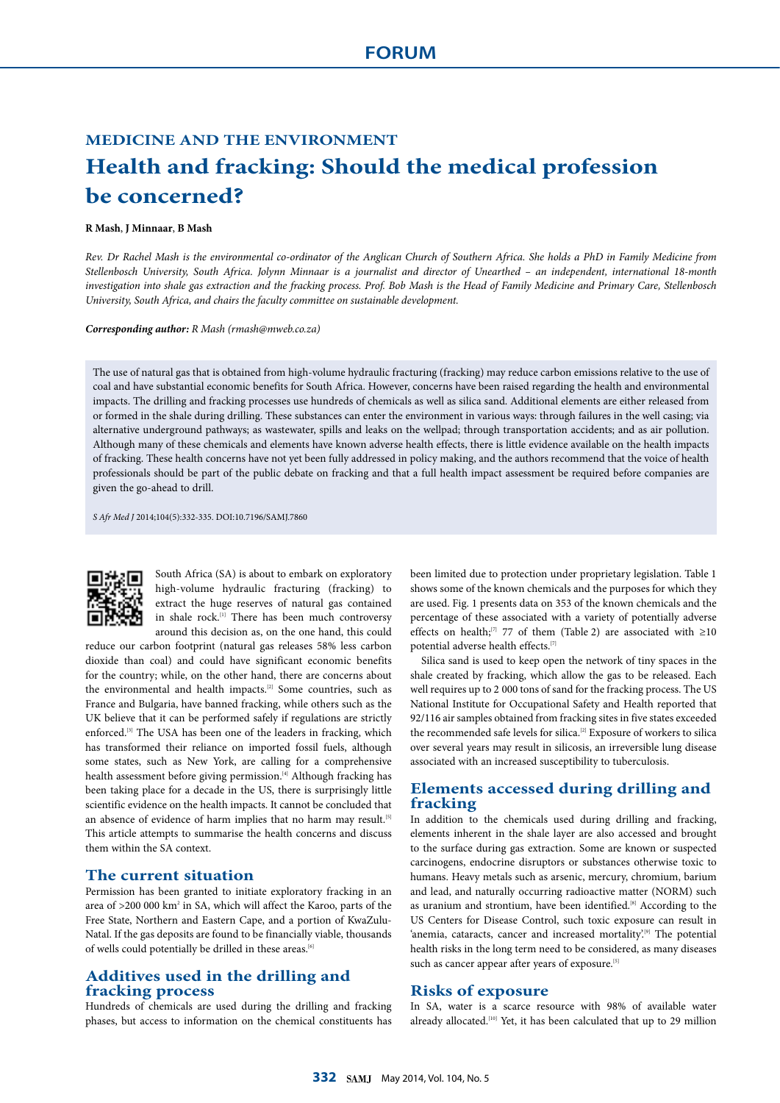# **MEDICINE AND THE ENVIRONMENT Health and fracking: Should the medical profession be concerned?**

#### **R Mash**, **J Minnaar**, **B Mash**

*Rev. Dr Rachel Mash is the environmental co-ordinator of the Anglican Church of Southern Africa. She holds a PhD in Family Medicine from Stellenbosch University, South Africa. Jolynn Minnaar is a journalist and director of Unearthed – an independent, international 18-month investigation into shale gas extraction and the fracking process. Prof. Bob Mash is the Head of Family Medicine and Primary Care, Stellenbosch University, South Africa, and chairs the faculty committee on sustainable development.*

*Corresponding author: R Mash ([rmash@mweb.co.za\)](mailto:rmash@mweb.co.za)*

The use of natural gas that is obtained from high-volume hydraulic fracturing (fracking) may reduce carbon emissions relative to the use of coal and have substantial economic benefits for South Africa. However, concerns have been raised regarding the health and environmental impacts. The drilling and fracking processes use hundreds of chemicals as well as silica sand. Additional elements are either released from or formed in the shale during drilling. These substances can enter the environment in various ways: through failures in the well casing; via alternative underground pathways; as wastewater, spills and leaks on the wellpad; through transportation accidents; and as air pollution. Although many of these chemicals and elements have known adverse health effects, there is little evidence available on the health impacts of fracking. These health concerns have not yet been fully addressed in policy making, and the authors recommend that the voice of health professionals should be part of the public debate on fracking and that a full health impact assessment be required before companies are given the go-ahead to drill.

*S Afr Med J* 2014;104(5):332-335. DOI:10.7196/SAMJ.7860



South Africa (SA) is about to embark on exploratory high-volume hydraulic fracturing (fracking) to extract the huge reserves of natural gas contained in shale rock.<sup>[1]</sup> There has been much controversy around this decision as, on the one hand, this could

reduce our carbon footprint (natural gas releases 58% less carbon dioxide than coal) and could have significant economic benefits for the country; while, on the other hand, there are concerns about the environmental and health impacts.<sup>[2]</sup> Some countries, such as France and Bulgaria, have banned fracking, while others such as the UK believe that it can be performed safely if regulations are strictly enforced.[3] The USA has been one of the leaders in fracking, which has transformed their reliance on imported fossil fuels, although some states, such as New York, are calling for a comprehensive health assessment before giving permission.<sup>[4]</sup> Although fracking has been taking place for a decade in the US, there is surprisingly little scientific evidence on the health impacts. It cannot be concluded that an absence of evidence of harm implies that no harm may result.<sup>[5]</sup> This article attempts to summarise the health concerns and discuss them within the SA context.

#### **The current situation**

Permission has been granted to initiate exploratory fracking in an area of >200 000 km<sup>2</sup> in SA, which will affect the Karoo, parts of the Free State, Northern and Eastern Cape, and a portion of KwaZulu-Natal. If the gas deposits are found to be financially viable, thousands of wells could potentially be drilled in these areas.<sup>[6]</sup>

# **Additives used in the drilling and fracking process**

Hundreds of chemicals are used during the drilling and fracking phases, but access to information on the chemical constituents has been limited due to protection under proprietary legislation. Table 1 shows some of the known chemicals and the purposes for which they are used. Fig. 1 presents data on 353 of the known chemicals and the percentage of these associated with a variety of potentially adverse effects on health;<sup>[7]</sup> 77 of them (Table 2) are associated with ≥10 potential adverse health effects.[7]

Silica sand is used to keep open the network of tiny spaces in the shale created by fracking, which allow the gas to be released. Each well requires up to 2 000 tons of sand for the fracking process. The US National Institute for Occupational Safety and Health reported that 92/116 air samples obtained from fracking sites in five states exceeded the recommended safe levels for silica.[2] Exposure of workers to silica over several years may result in silicosis, an irreversible lung disease associated with an increased susceptibility to tuberculosis.

# **Elements accessed during drilling and fracking**

In addition to the chemicals used during drilling and fracking, elements inherent in the shale layer are also accessed and brought to the surface during gas extraction. Some are known or suspected carcinogens, endocrine disruptors or substances otherwise toxic to humans. Heavy metals such as arsenic, mercury, chromium, barium and lead, and naturally occurring radioactive matter (NORM) such as uranium and strontium, have been identified.<sup>[8]</sup> According to the US Centers for Disease Control, such toxic exposure can result in 'anemia, cataracts, cancer and increased mortality'.<sup>[9]</sup> The potential health risks in the long term need to be considered, as many diseases such as cancer appear after years of exposure.<sup>[5]</sup>

#### **Risks of exposure**

In SA, water is a scarce resource with 98% of available water already allocated.<sup>[10]</sup> Yet, it has been calculated that up to 29 million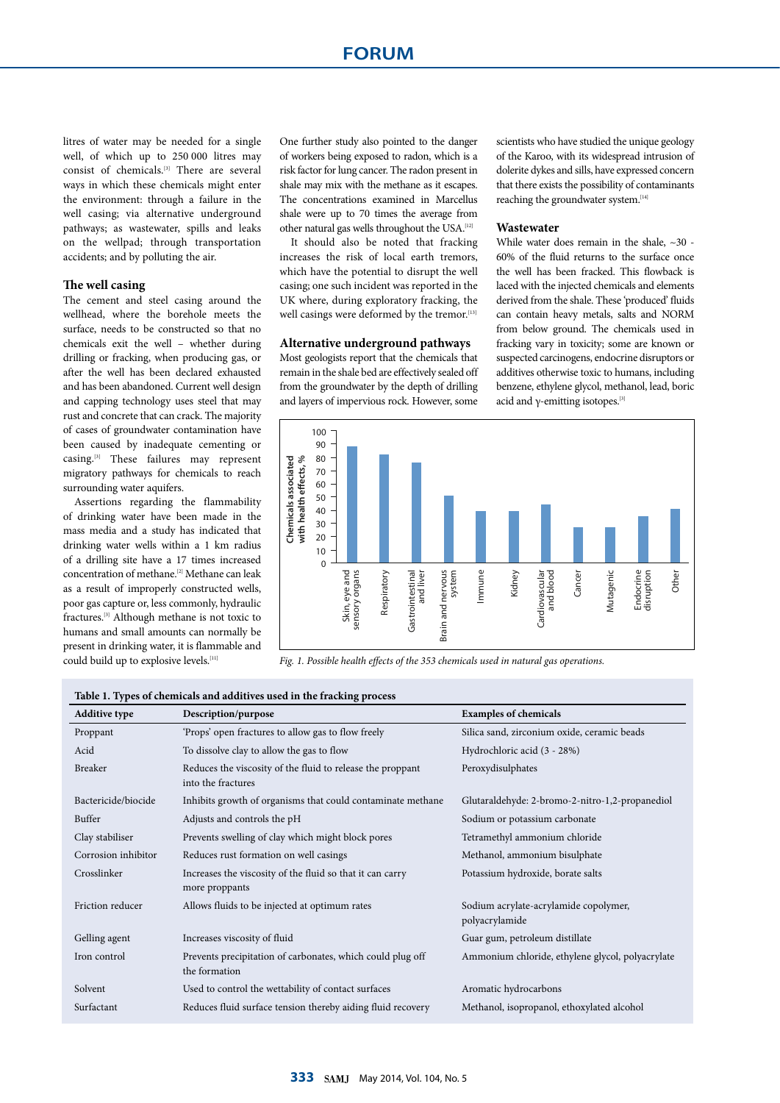# **FORUM**

litres of water may be needed for a single well, of which up to 250 000 litres may consist of chemicals.[3] There are several ways in which these chemicals might enter the environment: through a failure in the well casing; via alternative underground pathways; as wastewater, spills and leaks on the wellpad; through transportation accidents; and by polluting the air.

#### **The well casing**

The cement and steel casing around the wellhead, where the borehole meets the surface, needs to be constructed so that no chemicals exit the well – whether during drilling or fracking, when producing gas, or after the well has been declared exhausted and has been abandoned. Current well design and capping technology uses steel that may rust and concrete that can crack. The majority of cases of groundwater contamination have been caused by inadequate cementing or casing.[3] These failures may represent migratory pathways for chemicals to reach surrounding water aquifers.

Assertions regarding the flammability of drinking water have been made in the mass media and a study has indicated that drinking water wells within a 1 km radius of a drilling site have a 17 times increased concentration of methane.[2] Methane can leak as a result of improperly constructed wells, poor gas capture or, less commonly, hydraulic fractures.[3] Although methane is not toxic to humans and small amounts can normally be present in drinking water, it is flammable and could build up to explosive levels.[11]

One further study also pointed to the danger of workers being exposed to radon, which is a risk factor for lung cancer. The radon present in shale may mix with the methane as it escapes. The concentrations examined in Marcellus shale were up to 70 times the average from other natural gas wells throughout the USA.<sup>[12]</sup>

It should also be noted that fracking increases the risk of local earth tremors, which have the potential to disrupt the well casing; one such incident was reported in the UK where, during exploratory fracking, the well casings were deformed by the tremor.<sup>[13]</sup>

#### **Alternative underground pathways**

Most geologists report that the chemicals that remain in the shale bed are effectively sealed off from the groundwater by the depth of drilling and layers of impervious rock. However, some

scientists who have studied the unique geology of the Karoo, with its widespread intrusion of dolerite dykes and sills, have expressed concern that there exists the possibility of contaminants reaching the groundwater system.[14]

#### **Wastewater**

While water does remain in the shale, ~30 -60% of the fluid returns to the surface once the well has been fracked. This flowback is laced with the injected chemicals and elements derived from the shale. These 'produced' fluids can contain heavy metals, salts and NORM from below ground. The chemicals used in fracking vary in toxicity; some are known or suspected carcinogens, endocrine disruptors or additives otherwise toxic to humans, including benzene, ethylene glycol, methanol, lead, boric acid and γ-emitting isotopes.<sup>[3]</sup>



*Fig. 1. Possible health effects of the 353 chemicals used in natural gas operations.*

| Tuble 1: 17 per of chemical and author above in the Hacking process |                                                                                  |                                                         |  |
|---------------------------------------------------------------------|----------------------------------------------------------------------------------|---------------------------------------------------------|--|
| <b>Additive type</b>                                                | Description/purpose                                                              | <b>Examples of chemicals</b>                            |  |
| Proppant                                                            | 'Props' open fractures to allow gas to flow freely                               | Silica sand, zirconium oxide, ceramic beads             |  |
| Acid                                                                | To dissolve clay to allow the gas to flow                                        | Hydrochloric acid (3 - 28%)                             |  |
| <b>Breaker</b>                                                      | Reduces the viscosity of the fluid to release the proppant<br>into the fractures | Peroxydisulphates                                       |  |
| Bactericide/biocide                                                 | Inhibits growth of organisms that could contaminate methane                      | Glutaraldehyde: 2-bromo-2-nitro-1,2-propanediol         |  |
| Buffer                                                              | Adjusts and controls the pH                                                      | Sodium or potassium carbonate                           |  |
| Clay stabiliser                                                     | Prevents swelling of clay which might block pores                                | Tetramethyl ammonium chloride                           |  |
| Corrosion inhibitor                                                 | Reduces rust formation on well casings                                           | Methanol, ammonium bisulphate                           |  |
| Crosslinker                                                         | Increases the viscosity of the fluid so that it can carry<br>more proppants      | Potassium hydroxide, borate salts                       |  |
| Friction reducer                                                    | Allows fluids to be injected at optimum rates                                    | Sodium acrylate-acrylamide copolymer,<br>polyacrylamide |  |
| Gelling agent                                                       | Increases viscosity of fluid                                                     | Guar gum, petroleum distillate                          |  |
| Iron control                                                        | Prevents precipitation of carbonates, which could plug off<br>the formation      | Ammonium chloride, ethylene glycol, polyacrylate        |  |
| Solvent                                                             | Used to control the wettability of contact surfaces                              | Aromatic hydrocarbons                                   |  |
| Surfactant                                                          | Reduces fluid surface tension thereby aiding fluid recovery                      | Methanol, isopropanol, ethoxylated alcohol              |  |

#### **Table 1. Types of chemicals and additives used in the fracking process**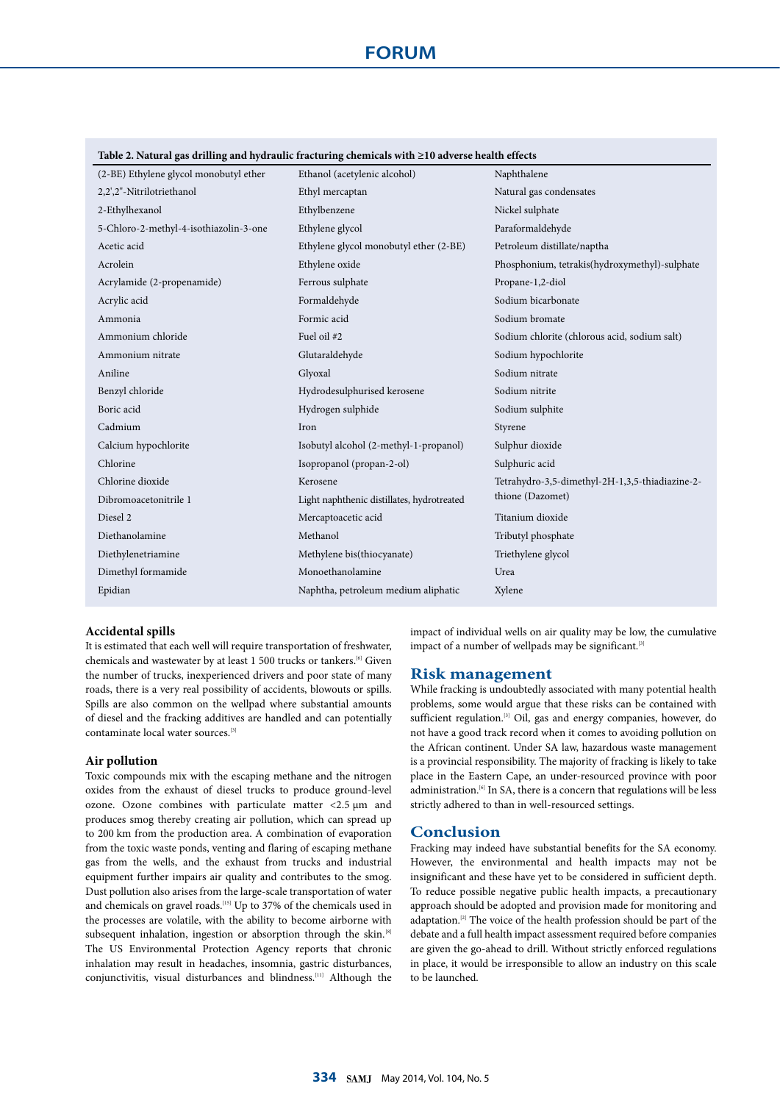| raoic 2. Facurar gas urming anu nyuraunc fracturing chemicals with 210 auverse neathr cheets |                                            |                                                 |  |  |
|----------------------------------------------------------------------------------------------|--------------------------------------------|-------------------------------------------------|--|--|
| (2-BE) Ethylene glycol monobutyl ether                                                       | Ethanol (acetylenic alcohol)               | Naphthalene                                     |  |  |
| 2,2',2"-Nitrilotriethanol                                                                    | Ethyl mercaptan                            | Natural gas condensates                         |  |  |
| 2-Ethylhexanol                                                                               | Ethylbenzene                               | Nickel sulphate                                 |  |  |
| 5-Chloro-2-methyl-4-isothiazolin-3-one                                                       | Ethylene glycol                            | Paraformaldehyde                                |  |  |
| Acetic acid                                                                                  | Ethylene glycol monobutyl ether (2-BE)     | Petroleum distillate/naptha                     |  |  |
| Acrolein                                                                                     | Ethylene oxide                             | Phosphonium, tetrakis(hydroxymethyl)-sulphate   |  |  |
| Acrylamide (2-propenamide)                                                                   | Ferrous sulphate                           | Propane-1,2-diol                                |  |  |
| Acrylic acid                                                                                 | Formaldehyde                               | Sodium bicarbonate                              |  |  |
| Ammonia                                                                                      | Formic acid                                | Sodium bromate                                  |  |  |
| Ammonium chloride                                                                            | Fuel oil #2                                | Sodium chlorite (chlorous acid, sodium salt)    |  |  |
| Ammonium nitrate                                                                             | Glutaraldehyde                             | Sodium hypochlorite                             |  |  |
| Aniline                                                                                      | Glyoxal                                    | Sodium nitrate                                  |  |  |
| Benzyl chloride                                                                              | Hydrodesulphurised kerosene                | Sodium nitrite                                  |  |  |
| Boric acid                                                                                   | Hydrogen sulphide                          | Sodium sulphite                                 |  |  |
| Cadmium                                                                                      | Iron                                       | Styrene                                         |  |  |
| Calcium hypochlorite                                                                         | Isobutyl alcohol (2-methyl-1-propanol)     | Sulphur dioxide                                 |  |  |
| Chlorine                                                                                     | Isopropanol (propan-2-ol)                  | Sulphuric acid                                  |  |  |
| Chlorine dioxide                                                                             | Kerosene                                   | Tetrahydro-3,5-dimethyl-2H-1,3,5-thiadiazine-2- |  |  |
| Dibromoacetonitrile 1                                                                        | Light naphthenic distillates, hydrotreated | thione (Dazomet)                                |  |  |
| Diesel 2                                                                                     | Mercaptoacetic acid                        | Titanium dioxide                                |  |  |
| Diethanolamine                                                                               | Methanol                                   | Tributyl phosphate                              |  |  |
| Diethylenetriamine                                                                           | Methylene bis(thiocyanate)                 | Triethylene glycol                              |  |  |
| Dimethyl formamide                                                                           | Monoethanolamine                           | Urea                                            |  |  |
| Epidian                                                                                      | Naphtha, petroleum medium aliphatic        | Xylene                                          |  |  |

### **Table 2. Natural gas drilling and hydraulic fracturing chemicals with ≥10 adverse health effects**

#### **Accidental spills**

It is estimated that each well will require transportation of freshwater, chemicals and wastewater by at least 1 500 trucks or tankers.<sup>[6]</sup> Given the number of trucks, inexperienced drivers and poor state of many roads, there is a very real possibility of accidents, blowouts or spills. Spills are also common on the wellpad where substantial amounts of diesel and the fracking additives are handled and can potentially contaminate local water sources.[3]

#### **Air pollution**

Toxic compounds mix with the escaping methane and the nitrogen oxides from the exhaust of diesel trucks to produce ground-level ozone. Ozone combines with particulate matter <2.5 µm and produces smog thereby creating air pollution, which can spread up to 200 km from the production area. A combination of evaporation from the toxic waste ponds, venting and flaring of escaping methane gas from the wells, and the exhaust from trucks and industrial equipment further impairs air quality and contributes to the smog. Dust pollution also arises from the large-scale transportation of water and chemicals on gravel roads.<sup>[15]</sup> Up to 37% of the chemicals used in the processes are volatile, with the ability to become airborne with subsequent inhalation, ingestion or absorption through the skin.<sup>[8]</sup> The US Environmental Protection Agency reports that chronic inhalation may result in headaches, insomnia, gastric disturbances, conjunctivitis, visual disturbances and blindness.[11] Although the

impact of individual wells on air quality may be low, the cumulative impact of a number of wellpads may be significant.<sup>[3]</sup>

#### **Risk management**

While fracking is undoubtedly associated with many potential health problems, some would argue that these risks can be contained with sufficient regulation.<sup>[3]</sup> Oil, gas and energy companies, however, do not have a good track record when it comes to avoiding pollution on the African continent. Under SA law, hazardous waste management is a provincial responsibility. The majority of fracking is likely to take place in the Eastern Cape, an under-resourced province with poor administration.<sup>[6]</sup> In SA, there is a concern that regulations will be less strictly adhered to than in well-resourced settings.

#### **Conclusion**

Fracking may indeed have substantial benefits for the SA economy. However, the environmental and health impacts may not be insignificant and these have yet to be considered in sufficient depth. To reduce possible negative public health impacts, a precautionary approach should be adopted and provision made for monitoring and adaptation.[2] The voice of the health profession should be part of the debate and a full health impact assessment required before companies are given the go-ahead to drill. Without strictly enforced regulations in place, it would be irresponsible to allow an industry on this scale to be launched.